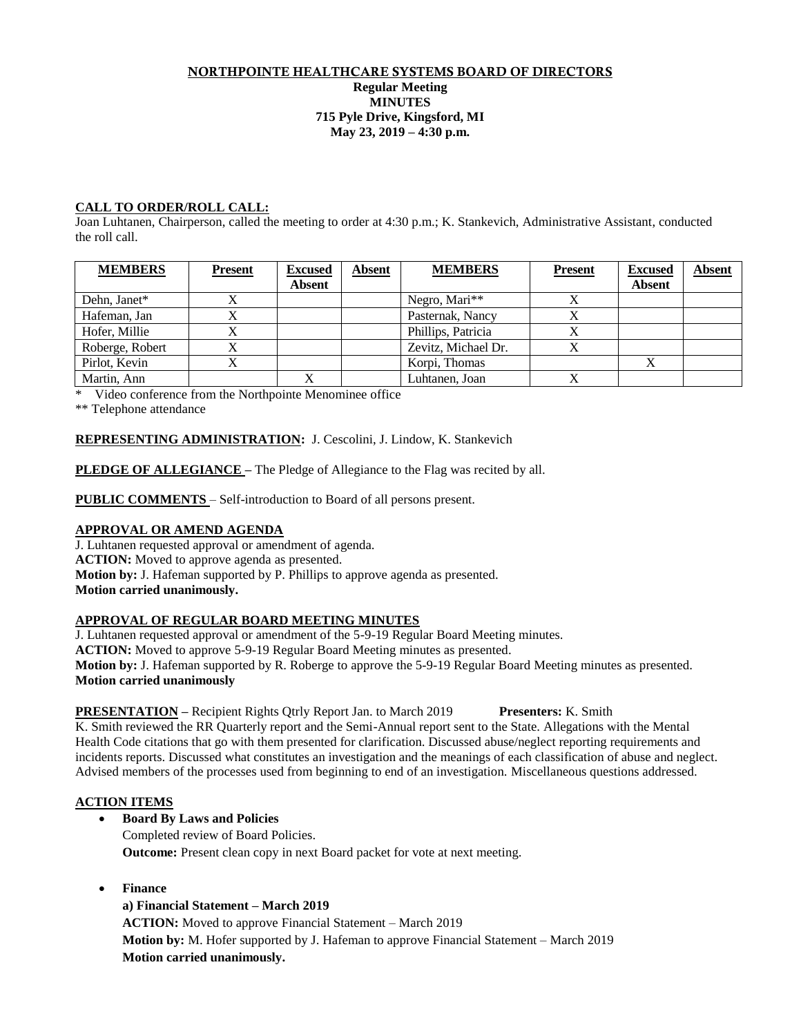#### NORTHPOINTE HEALTHCARE SYSTEMS BOARD OF DIRECTORS **Regular Meeting MINUTES 715 Pyle Drive, Kingsford, MI May 23, 2019 – 4:30 p.m.**

# **CALL TO ORDER/ROLL CALL:**

Joan Luhtanen, Chairperson, called the meeting to order at 4:30 p.m.; K. Stankevich, Administrative Assistant, conducted the roll call.

| <b>MEMBERS</b>  | <b>Present</b> | <b>Excused</b><br><b>Absent</b> | Absent | <b>MEMBERS</b>      | <b>Present</b> | <b>Excused</b><br><b>Absent</b> | <b>Absent</b> |
|-----------------|----------------|---------------------------------|--------|---------------------|----------------|---------------------------------|---------------|
| Dehn, Janet*    |                |                                 |        | Negro, Mari**       |                |                                 |               |
| Hafeman, Jan    |                |                                 |        | Pasternak, Nancy    |                |                                 |               |
| Hofer, Millie   |                |                                 |        | Phillips, Patricia  |                |                                 |               |
| Roberge, Robert |                |                                 |        | Zevitz, Michael Dr. |                |                                 |               |
| Pirlot, Kevin   |                |                                 |        | Korpi, Thomas       |                |                                 |               |
| Martin, Ann     |                |                                 |        | Luhtanen, Joan      |                |                                 |               |

\* Video conference from the Northpointe Menominee office

\*\* Telephone attendance

# **REPRESENTING ADMINISTRATION:** J. Cescolini, J. Lindow, K. Stankevich

**PLEDGE OF ALLEGIANCE** – The Pledge of Allegiance to the Flag was recited by all.

**PUBLIC COMMENTS** – Self-introduction to Board of all persons present.

# **APPROVAL OR AMEND AGENDA**

J. Luhtanen requested approval or amendment of agenda. **ACTION:** Moved to approve agenda as presented. **Motion by:** J. Hafeman supported by P. Phillips to approve agenda as presented. **Motion carried unanimously.**

# **APPROVAL OF REGULAR BOARD MEETING MINUTES**

J. Luhtanen requested approval or amendment of the 5-9-19 Regular Board Meeting minutes.

**ACTION:** Moved to approve 5-9-19 Regular Board Meeting minutes as presented.

**Motion by:** J. Hafeman supported by R. Roberge to approve the 5-9-19 Regular Board Meeting minutes as presented. **Motion carried unanimously**

# **PRESENTATION –** Recipient Rights Qtrly Report Jan. to March 2019 **Presenters:** K. Smith

K. Smith reviewed the RR Quarterly report and the Semi-Annual report sent to the State. Allegations with the Mental Health Code citations that go with them presented for clarification. Discussed abuse/neglect reporting requirements and incidents reports. Discussed what constitutes an investigation and the meanings of each classification of abuse and neglect. Advised members of the processes used from beginning to end of an investigation. Miscellaneous questions addressed.

# **ACTION ITEMS**

# **Board By Laws and Policies**

Completed review of Board Policies. **Outcome:** Present clean copy in next Board packet for vote at next meeting.

**Finance**

# **a) Financial Statement – March 2019**

**ACTION:** Moved to approve Financial Statement – March 2019 **Motion by:** M. Hofer supported by J. Hafeman to approve Financial Statement – March 2019 **Motion carried unanimously.**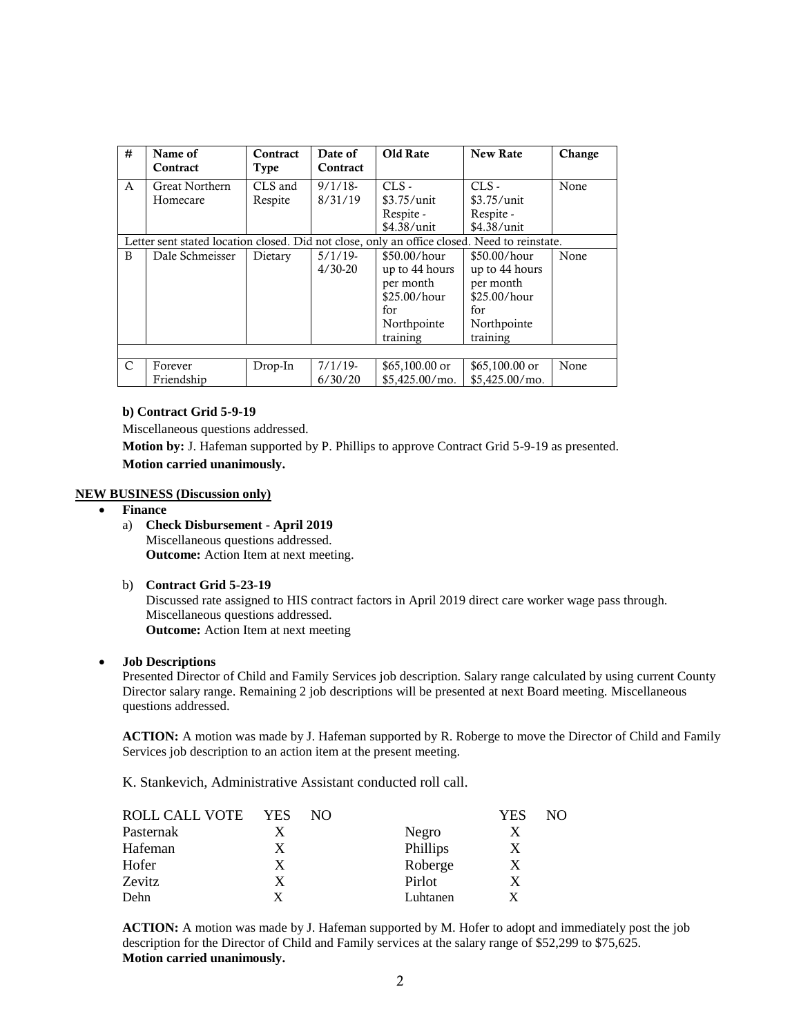| #                                                                                            | Name of<br>Contract   | Contract<br>Type | Date of<br>Contract | Old Rate         | <b>New Rate</b>  | Change |
|----------------------------------------------------------------------------------------------|-----------------------|------------------|---------------------|------------------|------------------|--------|
| $\mathsf{A}$                                                                                 | <b>Great Northern</b> | CLS and          | $9/1/18$ -          | $CLS -$          | $CLS -$          | None   |
|                                                                                              | Homecare              | Respite          | 8/31/19             | $$3.75/$ unit    | $$3.75/$ unit    |        |
|                                                                                              |                       |                  |                     | Respite -        | Respite -        |        |
|                                                                                              |                       |                  |                     | \$4.38/unit      | \$4.38/unit      |        |
| Letter sent stated location closed. Did not close, only an office closed. Need to reinstate. |                       |                  |                     |                  |                  |        |
| B                                                                                            | Dale Schmeisser       | Dietary          | $5/1/19$ -          | $$50.00/h$ our   | $$50.00/h$ our   | None   |
|                                                                                              |                       |                  | $4/30-20$           | up to 44 hours   | up to 44 hours   |        |
|                                                                                              |                       |                  |                     | per month        | per month        |        |
|                                                                                              |                       |                  |                     | \$25.00/hour     | \$25.00/hour     |        |
|                                                                                              |                       |                  |                     | for              | for              |        |
|                                                                                              |                       |                  |                     | Northpointe      | Northpointe      |        |
|                                                                                              |                       |                  |                     | training         | training         |        |
|                                                                                              |                       |                  |                     |                  |                  |        |
| C                                                                                            | Forever               | Drop-In          | $7/1/19$ -          | $$65,100.00$ or  | $$65,100.00$ or  | None   |
|                                                                                              | Friendship            |                  | 6/30/20             | $$5.425.00/m$ o. | $$5,425.00/m$ o. |        |

#### **b) Contract Grid 5-9-19**

Miscellaneous questions addressed.

**Motion by:** J. Hafeman supported by P. Phillips to approve Contract Grid 5-9-19 as presented. **Motion carried unanimously.** 

#### **NEW BUSINESS (Discussion only)**

- **Finance**
	- a) **Check Disbursement - April 2019** Miscellaneous questions addressed. **Outcome:** Action Item at next meeting.
	- b) **Contract Grid 5-23-19**

Discussed rate assigned to HIS contract factors in April 2019 direct care worker wage pass through. Miscellaneous questions addressed. **Outcome:** Action Item at next meeting

**Job Descriptions**

Presented Director of Child and Family Services job description. Salary range calculated by using current County Director salary range. Remaining 2 job descriptions will be presented at next Board meeting. Miscellaneous questions addressed.

**ACTION:** A motion was made by J. Hafeman supported by R. Roberge to move the Director of Child and Family Services job description to an action item at the present meeting.

K. Stankevich, Administrative Assistant conducted roll call.

| ROLL CALL VOTE | <b>YES</b> | NO. |          | YES | NO. |
|----------------|------------|-----|----------|-----|-----|
| Pasternak      |            |     | Negro    |     |     |
| Hafeman        | X          |     | Phillips | X   |     |
| Hofer          | X          |     | Roberge  | X   |     |
| Zevitz         | X          |     | Pirlot   |     |     |
| Dehn           |            |     | Luhtanen |     |     |

**ACTION:** A motion was made by J. Hafeman supported by M. Hofer to adopt and immediately post the job description for the Director of Child and Family services at the salary range of \$52,299 to \$75,625. **Motion carried unanimously.**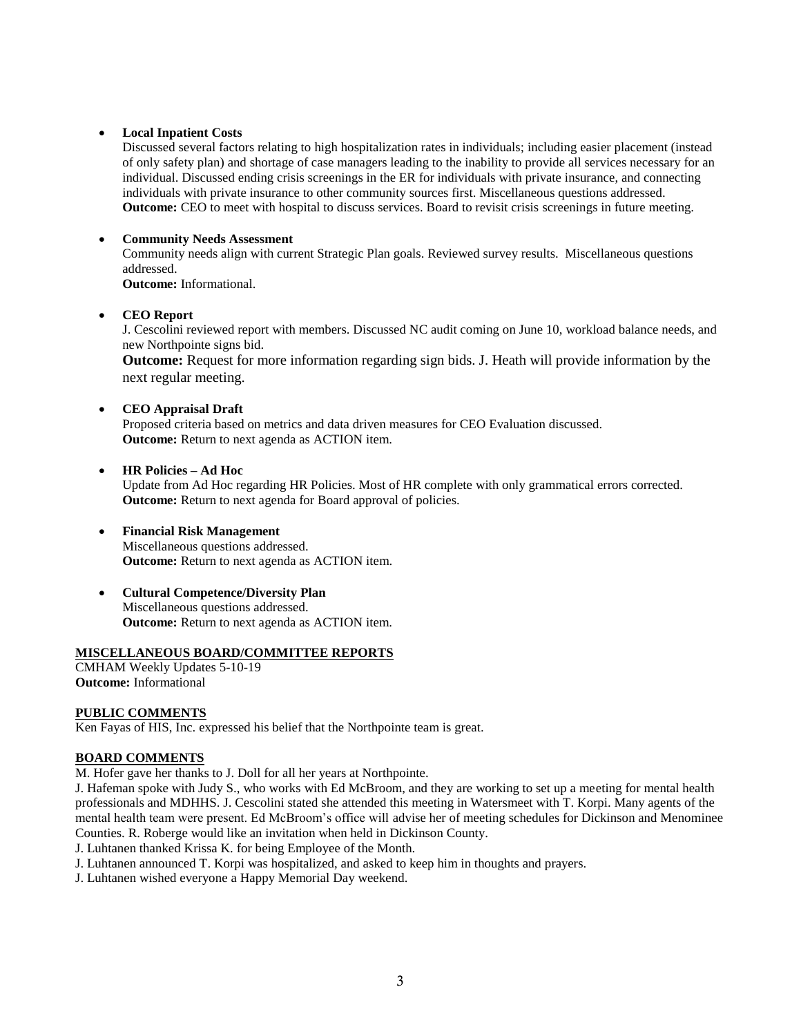# **Local Inpatient Costs**

Discussed several factors relating to high hospitalization rates in individuals; including easier placement (instead of only safety plan) and shortage of case managers leading to the inability to provide all services necessary for an individual. Discussed ending crisis screenings in the ER for individuals with private insurance, and connecting individuals with private insurance to other community sources first. Miscellaneous questions addressed. **Outcome:** CEO to meet with hospital to discuss services. Board to revisit crisis screenings in future meeting.

# **Community Needs Assessment**

Community needs align with current Strategic Plan goals. Reviewed survey results. Miscellaneous questions addressed.

**Outcome:** Informational.

# **CEO Report**

J. Cescolini reviewed report with members. Discussed NC audit coming on June 10, workload balance needs, and new Northpointe signs bid.

**Outcome:** Request for more information regarding sign bids. J. Heath will provide information by the next regular meeting.

# **CEO Appraisal Draft**

Proposed criteria based on metrics and data driven measures for CEO Evaluation discussed. **Outcome:** Return to next agenda as ACTION item.

- **HR Policies – Ad Hoc** Update from Ad Hoc regarding HR Policies. Most of HR complete with only grammatical errors corrected. **Outcome:** Return to next agenda for Board approval of policies.
- **Financial Risk Management** Miscellaneous questions addressed. **Outcome:** Return to next agenda as ACTION item.
- **Cultural Competence/Diversity Plan** Miscellaneous questions addressed. **Outcome:** Return to next agenda as ACTION item.

# **MISCELLANEOUS BOARD/COMMITTEE REPORTS**

CMHAM Weekly Updates 5-10-19 **Outcome:** Informational

# **PUBLIC COMMENTS**

Ken Fayas of HIS, Inc. expressed his belief that the Northpointe team is great.

# **BOARD COMMENTS**

M. Hofer gave her thanks to J. Doll for all her years at Northpointe.

J. Hafeman spoke with Judy S., who works with Ed McBroom, and they are working to set up a meeting for mental health professionals and MDHHS. J. Cescolini stated she attended this meeting in Watersmeet with T. Korpi. Many agents of the mental health team were present. Ed McBroom's office will advise her of meeting schedules for Dickinson and Menominee Counties. R. Roberge would like an invitation when held in Dickinson County.

J. Luhtanen thanked Krissa K. for being Employee of the Month.

- J. Luhtanen announced T. Korpi was hospitalized, and asked to keep him in thoughts and prayers.
- J. Luhtanen wished everyone a Happy Memorial Day weekend.